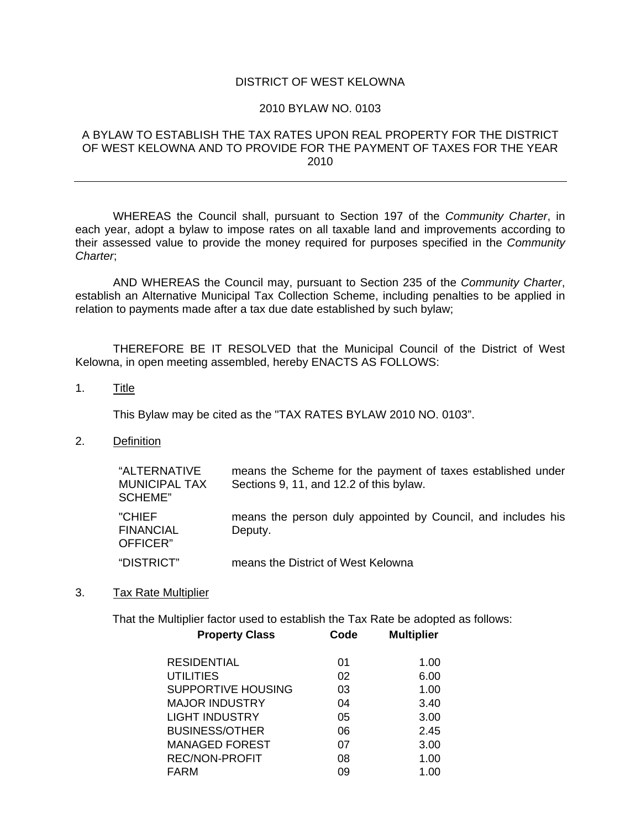### DISTRICT OF WEST KELOWNA

#### 2010 BYLAW NO. 0103

### A BYLAW TO ESTABLISH THE TAX RATES UPON REAL PROPERTY FOR THE DISTRICT OF WEST KELOWNA AND TO PROVIDE FOR THE PAYMENT OF TAXES FOR THE YEAR 2010

 WHEREAS the Council shall, pursuant to Section 197 of the *Community Charter*, in each year, adopt a bylaw to impose rates on all taxable land and improvements according to their assessed value to provide the money required for purposes specified in the *Community Charter*;

 AND WHEREAS the Council may, pursuant to Section 235 of the *Community Charter*, establish an Alternative Municipal Tax Collection Scheme, including penalties to be applied in relation to payments made after a tax due date established by such bylaw;

 THEREFORE BE IT RESOLVED that the Municipal Council of the District of West Kelowna, in open meeting assembled, hereby ENACTS AS FOLLOWS:

1. Title

This Bylaw may be cited as the "TAX RATES BYLAW 2010 NO. 0103".

2. Definition

| "ALTERNATIVE<br><b>MUNICIPAL TAX</b><br>SCHEME" | means the Scheme for the payment of taxes established under<br>Sections 9, 11, and 12.2 of this bylaw. |
|-------------------------------------------------|--------------------------------------------------------------------------------------------------------|
| "CHIEF<br><b>FINANCIAL</b><br>OFFICER"          | means the person duly appointed by Council, and includes his<br>Deputy.                                |
| "DISTRICT"                                      | means the District of West Kelowna                                                                     |

3. Tax Rate Multiplier

**Property Class Code Multiplier** That the Multiplier factor used to establish the Tax Rate be adopted as follows:

| 01 | 1.00 |
|----|------|
| 02 | 6.00 |
| 03 | 1.00 |
| 04 | 3.40 |
| 05 | 3.00 |
| 06 | 2.45 |
| 07 | 3.00 |
| 08 | 1.00 |
| 09 | 1.00 |
|    |      |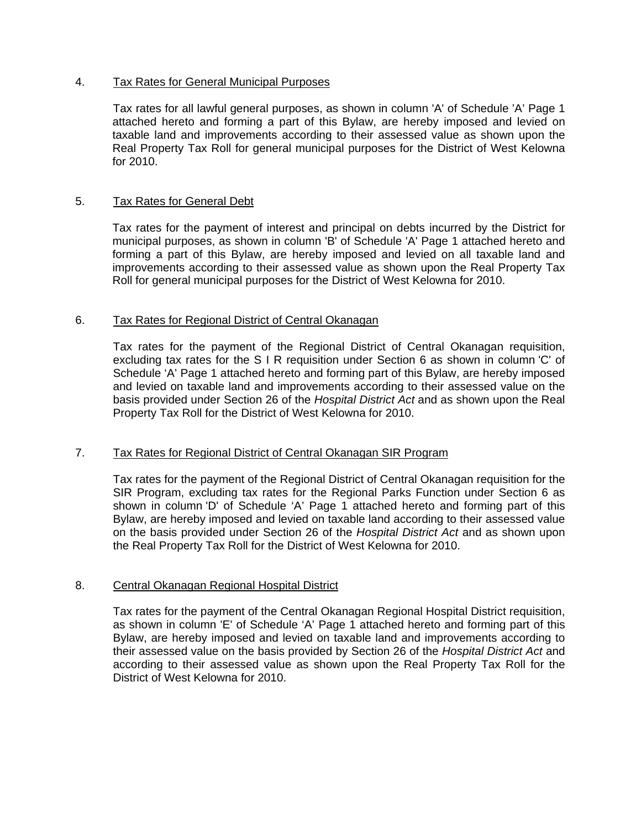### 4. Tax Rates for General Municipal Purposes

Tax rates for all lawful general purposes, as shown in column 'A' of Schedule 'A' Page 1 attached hereto and forming a part of this Bylaw, are hereby imposed and levied on taxable land and improvements according to their assessed value as shown upon the Real Property Tax Roll for general municipal purposes for the District of West Kelowna for 2010.

### 5. Tax Rates for General Debt

Tax rates for the payment of interest and principal on debts incurred by the District for municipal purposes, as shown in column 'B' of Schedule 'A' Page 1 attached hereto and forming a part of this Bylaw, are hereby imposed and levied on all taxable land and improvements according to their assessed value as shown upon the Real Property Tax Roll for general municipal purposes for the District of West Kelowna for 2010.

### 6. Tax Rates for Regional District of Central Okanagan

Tax rates for the payment of the Regional District of Central Okanagan requisition, excluding tax rates for the S I R requisition under Section 6 as shown in column 'C' of Schedule 'A' Page 1 attached hereto and forming part of this Bylaw, are hereby imposed and levied on taxable land and improvements according to their assessed value on the basis provided under Section 26 of the *Hospital District Act* and as shown upon the Real Property Tax Roll for the District of West Kelowna for 2010.

# 7. Tax Rates for Regional District of Central Okanagan SIR Program

Tax rates for the payment of the Regional District of Central Okanagan requisition for the SIR Program, excluding tax rates for the Regional Parks Function under Section 6 as shown in column 'D' of Schedule 'A' Page 1 attached hereto and forming part of this Bylaw, are hereby imposed and levied on taxable land according to their assessed value on the basis provided under Section 26 of the *Hospital District Act* and as shown upon the Real Property Tax Roll for the District of West Kelowna for 2010.

# 8. Central Okanagan Regional Hospital District

Tax rates for the payment of the Central Okanagan Regional Hospital District requisition, as shown in column 'E' of Schedule 'A' Page 1 attached hereto and forming part of this Bylaw, are hereby imposed and levied on taxable land and improvements according to their assessed value on the basis provided by Section 26 of the *Hospital District Act* and according to their assessed value as shown upon the Real Property Tax Roll for the District of West Kelowna for 2010.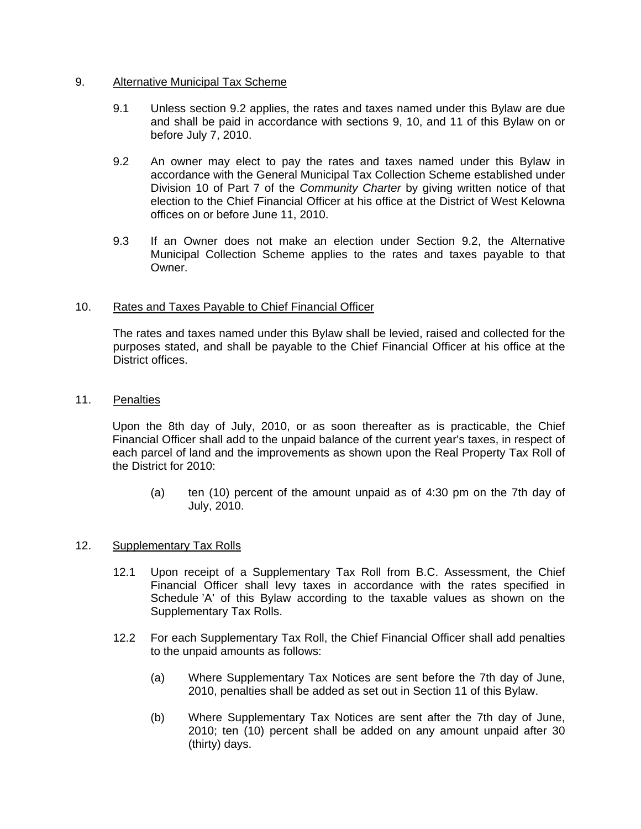### 9. Alternative Municipal Tax Scheme

- 9.1 Unless section 9.2 applies, the rates and taxes named under this Bylaw are due and shall be paid in accordance with sections 9, 10, and 11 of this Bylaw on or before July 7, 2010.
- 9.2 An owner may elect to pay the rates and taxes named under this Bylaw in accordance with the General Municipal Tax Collection Scheme established under Division 10 of Part 7 of the *Community Charter* by giving written notice of that election to the Chief Financial Officer at his office at the District of West Kelowna offices on or before June 11, 2010.
- 9.3 If an Owner does not make an election under Section 9.2, the Alternative Municipal Collection Scheme applies to the rates and taxes payable to that Owner.

# 10. Rates and Taxes Payable to Chief Financial Officer

The rates and taxes named under this Bylaw shall be levied, raised and collected for the purposes stated, and shall be payable to the Chief Financial Officer at his office at the District offices.

11. Penalties

Upon the 8th day of July, 2010, or as soon thereafter as is practicable, the Chief Financial Officer shall add to the unpaid balance of the current year's taxes, in respect of each parcel of land and the improvements as shown upon the Real Property Tax Roll of the District for 2010:

(a) ten (10) percent of the amount unpaid as of 4:30 pm on the 7th day of July, 2010.

### 12. Supplementary Tax Rolls

- 12.1 Upon receipt of a Supplementary Tax Roll from B.C. Assessment, the Chief Financial Officer shall levy taxes in accordance with the rates specified in Schedule 'A' of this Bylaw according to the taxable values as shown on the Supplementary Tax Rolls.
- 12.2 For each Supplementary Tax Roll, the Chief Financial Officer shall add penalties to the unpaid amounts as follows:
	- (a) Where Supplementary Tax Notices are sent before the 7th day of June, 2010, penalties shall be added as set out in Section 11 of this Bylaw.
	- (b) Where Supplementary Tax Notices are sent after the 7th day of June, 2010; ten (10) percent shall be added on any amount unpaid after 30 (thirty) days.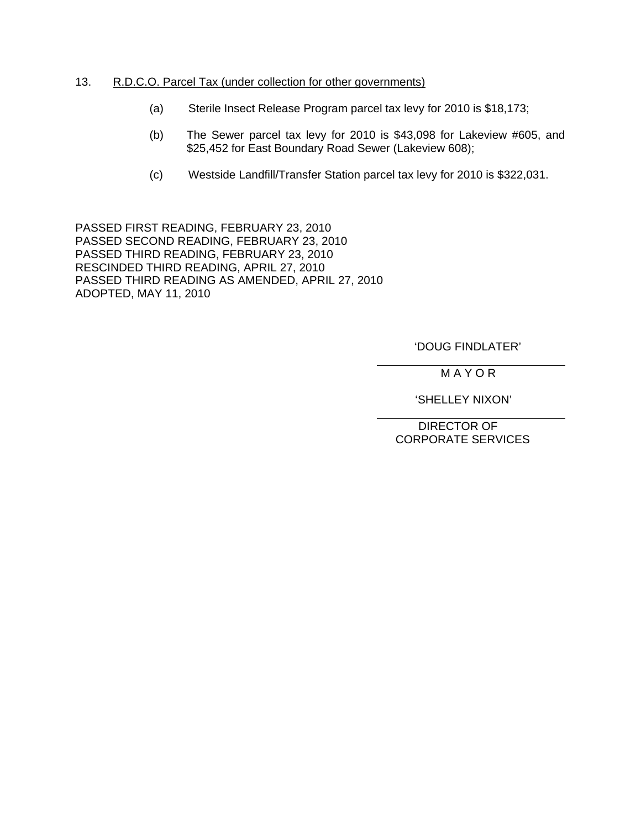### 13. R.D.C.O. Parcel Tax (under collection for other governments)

- (a) Sterile Insect Release Program parcel tax levy for 2010 is \$18,173;
- (b) The Sewer parcel tax levy for 2010 is \$43,098 for Lakeview #605, and \$25,452 for East Boundary Road Sewer (Lakeview 608);
- (c) Westside Landfill/Transfer Station parcel tax levy for 2010 is \$322,031.

PASSED FIRST READING, FEBRUARY 23, 2010 PASSED SECOND READING, FEBRUARY 23, 2010 PASSED THIRD READING, FEBRUARY 23, 2010 RESCINDED THIRD READING, APRIL 27, 2010 PASSED THIRD READING AS AMENDED, APRIL 27, 2010 ADOPTED, MAY 11, 2010

# 'DOUG FINDLATER'

M A Y O R

'SHELLEY NIXON'

 DIRECTOR OF CORPORATE SERVICES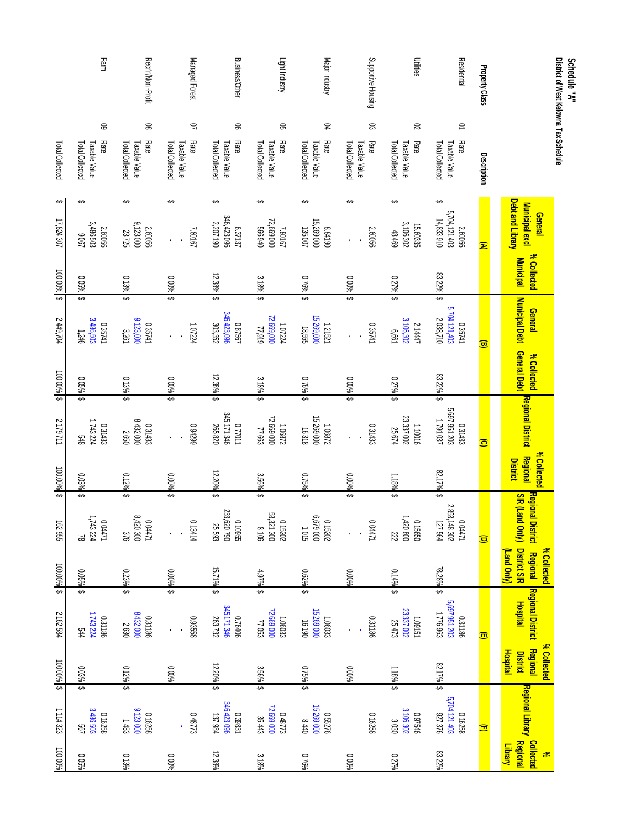| District of West Kelowna Tax Schedule<br>Schedule "A"                     |                                                             |                                 |                                            |             |                                                                      |                                                   |                                                                          |                                            |                                             |                                                                      |                                            |                                                    |
|---------------------------------------------------------------------------|-------------------------------------------------------------|---------------------------------|--------------------------------------------|-------------|----------------------------------------------------------------------|---------------------------------------------------|--------------------------------------------------------------------------|--------------------------------------------|---------------------------------------------|----------------------------------------------------------------------|--------------------------------------------|----------------------------------------------------|
|                                                                           | <b>Debt and Library</b><br>Municipal excl<br><b>General</b> | % Collected<br><b>Municipal</b> | Municipal Debt General Debt<br>General     | % Collected | <b>Regional District</b>                                             | % Collected<br><b>Regional</b><br><b>District</b> | <b>Regional District Regional</b><br><b>SIR (Land Only)</b>              | District SIR<br>% Collected<br>(Fand Only) | <b>Regional District</b><br><b>Hospital</b> | % Collected<br><b>Regional</b><br><b>Hospital</b><br><b>District</b> | <mark>Regional Library Regional</mark>     | <b>Collected</b><br><b>Library</b><br>$\mathbf{r}$ |
| Property Class<br>Description                                             | Ξ                                                           |                                 | $\overline{\mathbf{w}}$                    |             | $\widehat{\mathbf{c}}$                                               |                                                   | $\overline{\mathbf{e}}$                                                  |                                            | 興                                           |                                                                      | Ξ                                          |                                                    |
| Residential<br>$\supseteq$<br>Rate<br>Total Collected<br>Taxable Value    | ↔<br>5,704,121,403<br>14,833,910<br>2.60056                 | 83.22%                          | ⊷<br>5,704,121,403<br>2,038,710<br>0.35741 | 83.22%      | \$<br>2,697,951,203<br>1,791,037<br>0.31433                          | 82.17%                                            | \$<br>$\begin{array}{l} 0.04471 \\ 2,853,148,302 \\ 127,564 \end{array}$ | 78.28%                                     | \$<br>5,697,951,203<br>1,776,963<br>0.31186 | 82.17%                                                               | ⊷<br>5,704,121,403<br>87,376<br>0.16258    | 83.22%                                             |
| <b>Utilities</b><br>$\approx$<br>Rate<br>Total Collected<br>Taxable Value | ⊷<br>3,106,302<br>15.60335<br>48,469                        | 0.279                           | ⊷<br>3,106,302<br>2.1447<br>199'9          | 0.27%       | \$<br>23,337,002<br>25,674<br>1.10016                                | 1.18%                                             | ക<br>1,420,800<br>039210<br>222                                          | 0.14%                                      | ⊷<br>$23,337,002$<br>$25,473$<br>1.09151    | 1.18%                                                                | 3,106,302<br>0.97546<br>3,030              | 0.27%                                              |
| Supportive Housing<br>ස<br>Rate<br>Total Collected<br>Taxable Value       | ⊷<br>2.60056                                                | 0.00%                           | မ<br>0.35741                               | 0.00%       | \$<br>0.31433                                                        | $0.00%$ \$                                        | S<br>14471                                                               | 0.00%                                      | 0.31186                                     | 0.00%                                                                | 0.16258                                    | 9600'0                                             |
| Major Industry<br>R<br>Rate<br>Total Collected<br>Taxable Value           | ↔<br>15,269,000<br>8.84190<br>135,007                       | $0.76\%$                        | ଇ<br>999'81<br>000'692'91<br>1.21521       | $0.76\%$    | မာ<br>$\begin{array}{c} 1.06872 \\ 15,269,000 \\ 16,318 \end{array}$ | 0.75%                                             | \$<br>91011<br>00016299<br>0.15202                                       | 0.62%                                      | ക<br>$1.06033$<br>$15,269,000$<br>$16,190$  | 0.75%                                                                | ⊷<br>15,269,000<br>0.55276                 | $0.76\%$                                           |
| Light Industry<br>ຂ<br>Total Collected<br>Rate<br><b>Taxable Value</b>    | ⊷<br>72,669,000<br>7.80167<br>566,940                       | 3.18%                           | ⊷<br>616'ZZ<br>000'699'ZZ<br>1.07224       | 3.18%       | \$<br>$\begin{array}{l} 1.06872 \\ 22.669,000 \\ 77,663 \end{array}$ | 3.56%                                             | ⊷<br>0.15202<br>53,321,300<br>8,106                                      | 4.97%                                      | \$<br>$1.06033$<br>$72,669,000$<br>77,053   | 3.56%                                                                | ⊷<br>72,669,000<br>0.48773<br>35,443       | 3.18%                                              |
| Business/Other<br>8<br>Rate<br>Total Collected<br>Taxable Value           | ⊷<br>346,423,096<br>2,207,190<br>6.37137                    | 12.38%                          | \$<br>340,623,096<br>00,624,948<br>0.87567 | 12.38%      | ⊷<br>345,171,346<br>265,820<br>0.77011                               | 12.20%                                            | မာ<br>233,620,790<br>0.10955<br>25,593                                   | 15.71%                                     | မ<br>345,171,346<br>263,732<br>0.76406      | 12.20%                                                               | ⊷<br>960,524,942<br>980,524,942<br>0.39831 | 12.38%                                             |
| Managed Forest<br>$\gtrsim$<br>Rate<br>Total Collected<br>Taxable Value   | ⊷<br>7.80167                                                | 0.00%                           | ⊷<br>1.07224                               | 0.00%       | \$<br>0.94299                                                        | 0.00%                                             | \$<br>s<br>13414                                                         | $0.00\%$                                   | မာ<br>0.93558                               | 0.00%                                                                | 0.48773                                    | 9600°0                                             |
| RecrinNon-Profit<br>8<br>Rate<br>Total Collected<br>Taxable Value         | ⊷<br>9,123,000<br>2.60056<br>23,725                         | 0.13%                           | ⊷<br>9,123,000<br>0.35741<br>3,261         | 0.13%       | \$<br>8,432,000<br>0.31433<br>2,650                                  | 0.12%                                             | မ<br>8,420,300<br>0.04471<br>376                                         | 0.23%                                      | မာ<br>8,432,000<br>2,630<br>0.31186         | 0.12%                                                                | ⊷<br>9,123,000<br>0.16258<br>1,483         | 0.13%                                              |
| Farm<br>6<br>Rate<br>Total Collected<br>Taxable Value                     | ⊷<br>$290'6$<br>$290'6$<br>$2009'6$<br>2.60056              | 0.05%                           | ⊷<br>3,486,503<br>0.35741<br>346           | 0.05%       | ⊷<br>1,743,224<br>0.31433<br>\$48                                    | 0.03%                                             | ക<br>1,743,224<br>14471<br>2                                             | 0.05%                                      | \$<br>$1,743,224$<br>$1,743,224$<br>544     | 0.03%                                                                | ⊷<br>3,486,503<br>005,884<br>0.16258       | $0.05\%$                                           |
| Total Collected                                                           | ⊷<br>17,824,307                                             | $100.00\%$ \$                   | 2,449,704                                  | 100.00%     | \$<br>2,179,711                                                      | 100.00% \$                                        | 162,955                                                                  | 100.00%   \$                               | 2,162,584                                   | 100.00% \$                                                           | 1,114,323                                  | 100.00%                                            |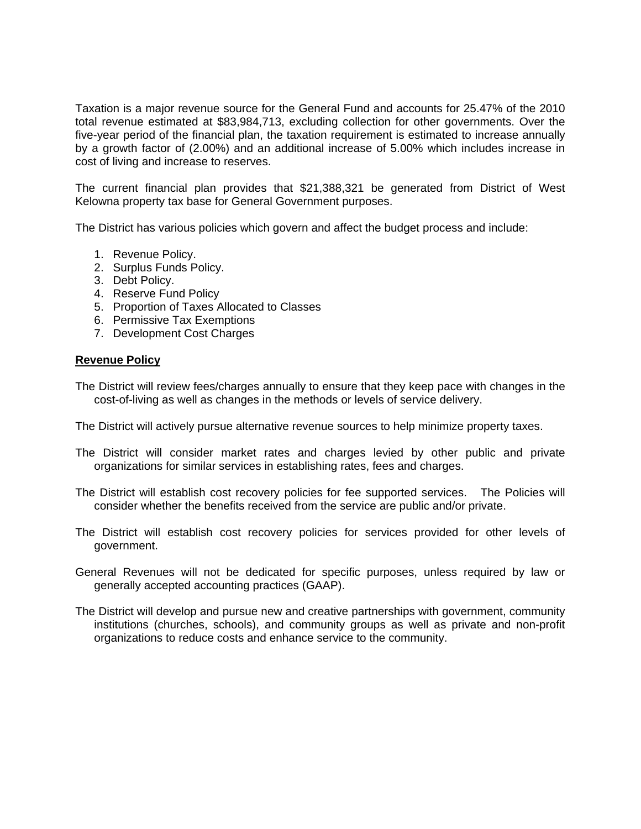Taxation is a major revenue source for the General Fund and accounts for 25.47% of the 2010 total revenue estimated at \$83,984,713, excluding collection for other governments. Over the five-year period of the financial plan, the taxation requirement is estimated to increase annually by a growth factor of (2.00%) and an additional increase of 5.00% which includes increase in cost of living and increase to reserves.

The current financial plan provides that \$21,388,321 be generated from District of West Kelowna property tax base for General Government purposes.

The District has various policies which govern and affect the budget process and include:

- 1. Revenue Policy.
- 2. Surplus Funds Policy.
- 3. Debt Policy.
- 4. Reserve Fund Policy
- 5. Proportion of Taxes Allocated to Classes
- 6. Permissive Tax Exemptions
- 7. Development Cost Charges

### **Revenue Policy**

The District will review fees/charges annually to ensure that they keep pace with changes in the cost-of-living as well as changes in the methods or levels of service delivery.

The District will actively pursue alternative revenue sources to help minimize property taxes.

- The District will consider market rates and charges levied by other public and private organizations for similar services in establishing rates, fees and charges.
- The District will establish cost recovery policies for fee supported services. The Policies will consider whether the benefits received from the service are public and/or private.
- The District will establish cost recovery policies for services provided for other levels of government.
- General Revenues will not be dedicated for specific purposes, unless required by law or generally accepted accounting practices (GAAP).
- The District will develop and pursue new and creative partnerships with government, community institutions (churches, schools), and community groups as well as private and non-profit organizations to reduce costs and enhance service to the community.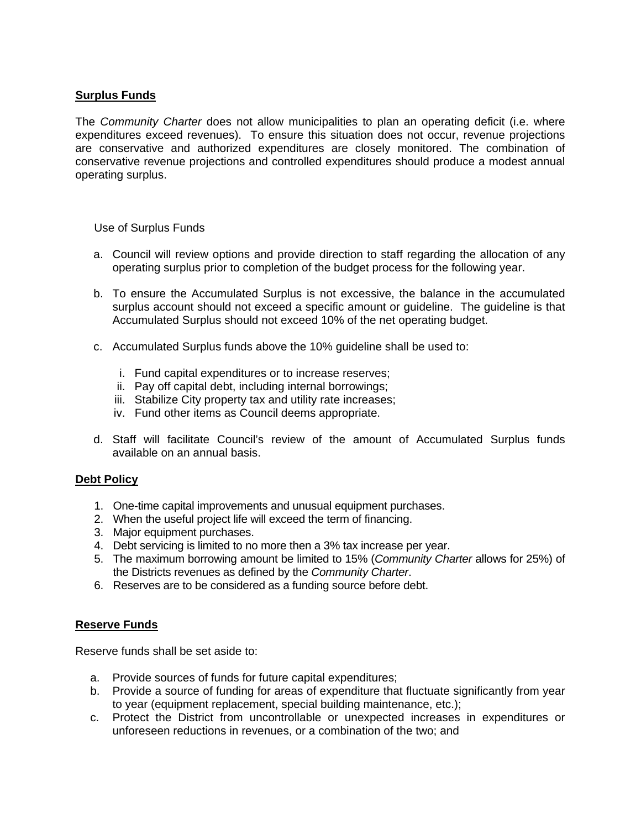# **Surplus Funds**

The *Community Charter* does not allow municipalities to plan an operating deficit (i.e. where expenditures exceed revenues). To ensure this situation does not occur, revenue projections are conservative and authorized expenditures are closely monitored. The combination of conservative revenue projections and controlled expenditures should produce a modest annual operating surplus.

Use of Surplus Funds

- a. Council will review options and provide direction to staff regarding the allocation of any operating surplus prior to completion of the budget process for the following year.
- b. To ensure the Accumulated Surplus is not excessive, the balance in the accumulated surplus account should not exceed a specific amount or guideline. The guideline is that Accumulated Surplus should not exceed 10% of the net operating budget.
- c. Accumulated Surplus funds above the 10% guideline shall be used to:
	- i. Fund capital expenditures or to increase reserves;
	- ii. Pay off capital debt, including internal borrowings;
	- iii. Stabilize City property tax and utility rate increases;
	- iv. Fund other items as Council deems appropriate.
- d. Staff will facilitate Council's review of the amount of Accumulated Surplus funds available on an annual basis.

# **Debt Policy**

- 1. One-time capital improvements and unusual equipment purchases.
- 2. When the useful project life will exceed the term of financing.
- 3. Major equipment purchases.
- 4. Debt servicing is limited to no more then a 3% tax increase per year.
- 5. The maximum borrowing amount be limited to 15% (*Community Charter* allows for 25%) of the Districts revenues as defined by the *Community Charter*.
- 6. Reserves are to be considered as a funding source before debt.

# **Reserve Funds**

Reserve funds shall be set aside to:

- a. Provide sources of funds for future capital expenditures;
- b. Provide a source of funding for areas of expenditure that fluctuate significantly from year to year (equipment replacement, special building maintenance, etc.);
- c. Protect the District from uncontrollable or unexpected increases in expenditures or unforeseen reductions in revenues, or a combination of the two; and